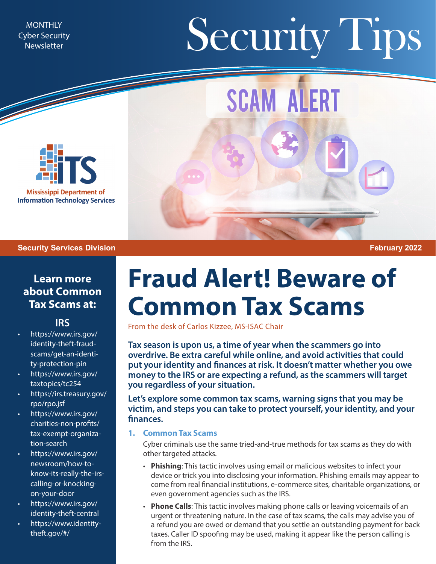Cyber Security **Newsletter** 

# MONTHLY Newsletter Security Security Tips

**SCAM ALERT** 



#### **Security Services Division February 2022**

### **Learn more about Common Tax Scams at:**

#### **[IRS](https://www.irs.gov/)**

- [https://www.irs.gov/](https://www.irs.gov/identity-theft-fraud-scams/get-an-identity-protection-pin) [identity-theft-fraud](https://www.irs.gov/identity-theft-fraud-scams/get-an-identity-protection-pin)[scams/get-an-identi](https://www.irs.gov/identity-theft-fraud-scams/get-an-identity-protection-pin)[ty-protection-pin](https://www.irs.gov/identity-theft-fraud-scams/get-an-identity-protection-pin)
- [https://www.irs.gov/](https://www.irs.gov/taxtopics/tc254) [taxtopics/tc254](https://www.irs.gov/taxtopics/tc254)
- [https://irs.treasury.gov/](https://irs.treasury.gov/rpo/rpo.jsf) [rpo/rpo.jsf](https://irs.treasury.gov/rpo/rpo.jsf)
- [https://www.irs.gov/](https://www.irs.gov/charities-non-profits/tax-exempt-organization-search) [charities-non-profits/](https://www.irs.gov/charities-non-profits/tax-exempt-organization-search) [tax-exempt-organiza](https://www.irs.gov/charities-non-profits/tax-exempt-organization-search)[tion-search](https://www.irs.gov/charities-non-profits/tax-exempt-organization-search)
- [https://www.irs.gov/](https://www.irs.gov/newsroom/how-to-know-its-really-the-irs-calling-or-knocking-on-your-door) [newsroom/how-to](https://www.irs.gov/newsroom/how-to-know-its-really-the-irs-calling-or-knocking-on-your-door)[know-its-really-the-irs](https://www.irs.gov/newsroom/how-to-know-its-really-the-irs-calling-or-knocking-on-your-door)[calling-or-knocking](https://www.irs.gov/newsroom/how-to-know-its-really-the-irs-calling-or-knocking-on-your-door)[on-your-door](https://www.irs.gov/newsroom/how-to-know-its-really-the-irs-calling-or-knocking-on-your-door)
- [https://www.irs.gov/](https://www.irs.gov/identity-theft-central) [identity-theft-central](https://www.irs.gov/identity-theft-central)
- [https://www.identity](https://www.identitytheft.gov/#/)[theft.gov/#/](https://www.identitytheft.gov/#/)

## **Fraud Alert! Beware of Common Tax Scams**

From the desk of Carlos Kizzee, MS-ISAC Chair

**Tax season is upon us, a time of year when the scammers go into overdrive. Be extra careful while online, and avoid activities that could put your identity and finances at risk. It doesn't matter whether you owe money to the IRS or are expecting a refund, as the scammers will target you regardless of your situation.** 

**Let's explore some common tax scams, warning signs that you may be victim, and steps you can take to protect yourself, your identity, and your finances.**

#### **1. Common Tax Scams**

Cyber criminals use the same tried-and-true methods for tax scams as they do with other targeted attacks.

- **Phishing**: This tactic involves using email or malicious websites to infect your device or trick you into disclosing your information. Phishing emails may appear to come from real financial institutions, e-commerce sites, charitable organizations, or even government agencies such as the IRS.
- **Phone Calls**: This tactic involves making phone calls or leaving voicemails of an urgent or threatening nature. In the case of tax scams, the calls may advise you of a refund you are owed or demand that you settle an outstanding payment for back taxes. Caller ID spoofing may be used, making it appear like the person calling is from the IRS.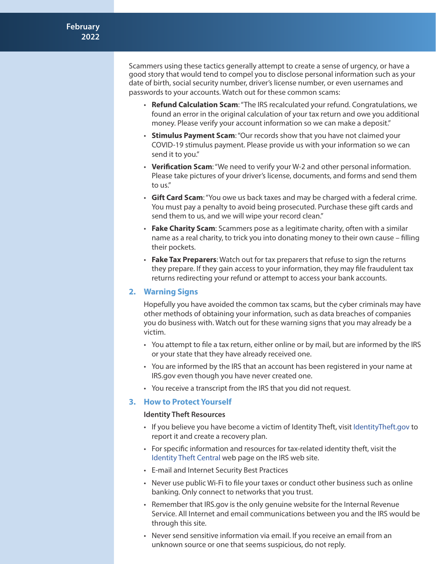Scammers using these tactics generally attempt to create a sense of urgency, or have a good story that would tend to compel you to disclose personal information such as your date of birth, social security number, driver's license number, or even usernames and passwords to your accounts. Watch out for these common scams:

- **Refund Calculation Scam**: "The IRS recalculated your refund. Congratulations, we found an error in the original calculation of your tax return and owe you additional money. Please verify your account information so we can make a deposit."
- **Stimulus Payment Scam**: "Our records show that you have not claimed your COVID-19 stimulus payment. Please provide us with your information so we can send it to you."
- **Verification Scam**: "We need to verify your W-2 and other personal information. Please take pictures of your driver's license, documents, and forms and send them to us."
- **Gift Card Scam**: "You owe us back taxes and may be charged with a federal crime. You must pay a penalty to avoid being prosecuted. Purchase these gift cards and send them to us, and we will wipe your record clean."
- **Fake Charity Scam**: Scammers pose as a legitimate charity, often with a similar name as a real charity, to trick you into donating money to their own cause – filling their pockets.
- **Fake Tax Preparers**: Watch out for tax preparers that refuse to sign the returns they prepare. If they gain access to your information, they may file fraudulent tax returns redirecting your refund or attempt to access your bank accounts.

#### **2. Warning Signs**

Hopefully you have avoided the common tax scams, but the cyber criminals may have other methods of obtaining your information, such as data breaches of companies you do business with. Watch out for these warning signs that you may already be a victim.

- You attempt to file a tax return, either online or by mail, but are informed by the IRS or your state that they have already received one.
- You are informed by the IRS that an account has been registered in your name at IRS.gov even though you have never created one.
- You receive a transcript from the IRS that you did not request.

#### **3. How to Protect Yourself**

#### **Identity Theft Resources**

- If you believe you have become a victim of Identity Theft, visit [IdentityTheft.gov](https://www.identitytheft.gov/#/) to report it and create a recovery plan.
- For specific information and resources for tax-related identity theft, visit the [Identity Theft Central](https://www.irs.gov/identity-theft-central) web page on the IRS web site.
- E-mail and Internet Security Best Practices
- Never use public Wi-Fi to file your taxes or conduct other business such as online banking. Only connect to networks that you trust.
- Remember that IRS.gov is the only genuine website for the Internal Revenue Service. All Internet and email communications between you and the IRS would be through this site.
- Never send sensitive information via email. If you receive an email from an unknown source or one that seems suspicious, do not reply.